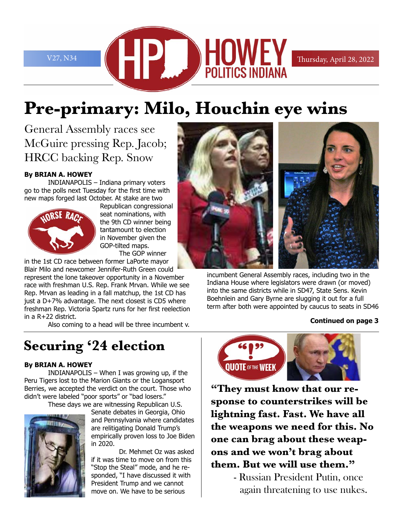V27, N34 **CONTROLLEY** Thursday, April 28, 2022

# **Pre-primary: Milo, Houchin eye wins**

General Assembly races see McGuire pressing Rep. Jacob; HRCC backing Rep. Snow

#### **By BRIAN A. HOWEY**

INDIANAPOLIS – Indiana primary voters go to the polls next Tuesday for the first time with new maps forged last October. At stake are two



Republican congressional seat nominations, with the 9th CD winner being tantamount to election in November given the GOP-tilted maps. The GOP winner

in the 1st CD race between former LaPorte mayor Blair Milo and newcomer Jennifer-Ruth Green could

represent the lone takeover opportunity in a November race with freshman U.S. Rep. Frank Mrvan. While we see Rep. Mrvan as leading in a fall matchup, the 1st CD has just a D+7% advantage. The next closest is CD5 where freshman Rep. Victoria Spartz runs for her first reelection in a R+22 district.

Also coming to a head will be three incumbent v.

## **Securing '24 election**

#### **By BRIAN A. HOWEY**

INDIANAPOLIS – When I was growing up, if the Peru Tigers lost to the Marion Giants or the Logansport Berries, we accepted the verdict on the court. Those who didn't were labeled "poor sports" or "bad losers."

These days we are witnessing Republican U.S.



Senate debates in Georgia, Ohio and Pennsylvania where candidates are relitigating Donald Trump's empirically proven loss to Joe Biden in 2020.

Dr. Mehmet Oz was asked if it was time to move on from this "Stop the Steal" mode, and he responded, "I have discussed it with President Trump and we cannot move on. We have to be serious



incumbent General Assembly races, including two in the Indiana House where legislators were drawn (or moved) into the same districts while in SD47, State Sens. Kevin Boehnlein and Gary Byrne are slugging it out for a full term after both were appointed by caucus to seats in SD46

#### **Continued on page 3**



**"They must know that our response to counterstrikes will be lightning fast. Fast. We have all the weapons we need for this. No one can brag about these weapons and we won't brag about them. But we will use them."**

> - Russian President Putin, once again threatening to use nukes.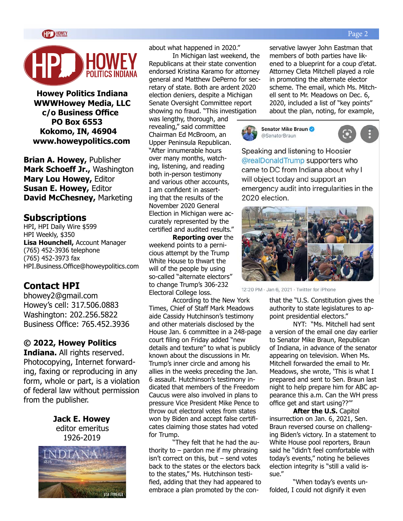#### Page 2



**Howey Politics Indiana WWWHowey Media, LLC c/o Business Office PO Box 6553 Kokomo, IN, 46904 www.howeypolitics.com**

**Brian A. Howey,** Publisher **Mark Schoeff Jr.,** Washington **Mary Lou Howey,** Editor **Susan E. Howey,** Editor **David McChesney,** Marketing

#### **Subscriptions**

HPI, HPI Daily Wire \$599 HPI Weekly, \$350 **Lisa Hounchell,** Account Manager (765) 452-3936 telephone (765) 452-3973 fax HPI.Business.Office@howeypolitics.com

#### **Contact HPI**

bhowey2@gmail.com Howey's cell: 317.506.0883 Washington: 202.256.5822 Business Office: 765.452.3936

#### **© 2022, Howey Politics**

**Indiana.** All rights reserved. Photocopying, Internet forwarding, faxing or reproducing in any form, whole or part, is a violation of federal law without permission from the publisher.

> **Jack E. Howey** editor emeritus 1926-2019



about what happened in 2020."

In Michigan last weekend, the Republicans at their state convention endorsed Kristina Karamo for attorney general and Matthew DePerno for secretary of state. Both are ardent 2020 election deniers, despite a Michigan Senate Oversight Committee report showing no fraud. "This investigation

was lengthy, thorough, and revealing," said committee Chairman Ed McBroom, an Upper Peninsula Republican. "After innumerable hours over many months, watching, listening, and reading both in-person testimony and various other accounts, I am confident in asserting that the results of the November 2020 General Election in Michigan were accurately represented by the certified and audited results."

**Reporting over** the weekend points to a pernicious attempt by the Trump White House to thwart the will of the people by using so-called "alternate electors" to change Trump's 306-232 Electoral College loss.

According to the New York Times, Chief of Staff Mark Meadows aide Cassidy Hutchinson's testimony and other materials disclosed by the House Jan. 6 committee in a 248-page court filing on Friday added "new details and texture" to what is publicly known about the discussions in Mr. Trump's inner circle and among his allies in the weeks preceding the Jan. 6 assault. Hutchinson's testimony indicated that members of the Freedom Caucus were also involved in plans to pressure Vice President Mike Pence to throw out electoral votes from states won by Biden and accept false certificates claiming those states had voted for Trump.

"They felt that he had the authority to  $-$  pardon me if my phrasing isn't correct on this, but – send votes back to the states or the electors back to the states," Ms. Hutchinson testified, adding that they had appeared to embrace a plan promoted by the conservative lawyer John Eastman that members of both parties have likened to a blueprint for a coup d'etat. Attorney Cleta Mitchell played a role in promoting the alternate elector scheme. The email, which Ms. Mitchell sent to Mr. Meadows on Dec. 6, 2020, included a list of "key points" about the plan, noting, for example,



Speaking and listening to Hoosier @realDonaldTrump supporters who came to DC from Indiana about why I will object today and support an emergency audit into irregularities in the 2020 election.



12:20 PM · Jan 6, 2021 · Twitter for iPhone

that the "U.S. Constitution gives the authority to state legislatures to appoint presidential electors."

NYT: "Ms. Mitchell had sent a version of the email one day earlier to Senator Mike Braun, Republican of Indiana, in advance of the senator appearing on television. When Ms. Mitchell forwarded the email to Mr. Meadows, she wrote, 'This is what I prepared and sent to Sen. Braun last night to help prepare him for ABC appearance this a.m. Can the WH press office get and start using??'"

**After the U.S.** Capitol insurrection on Jan. 6, 2021, Sen. Braun reversed course on challenging Biden's victory. In a statement to White House pool reporters, Braun said he "didn't feel comfortable with today's events," noting he believes election integrity is "still a valid issue."

"When today's events unfolded, I could not dignify it even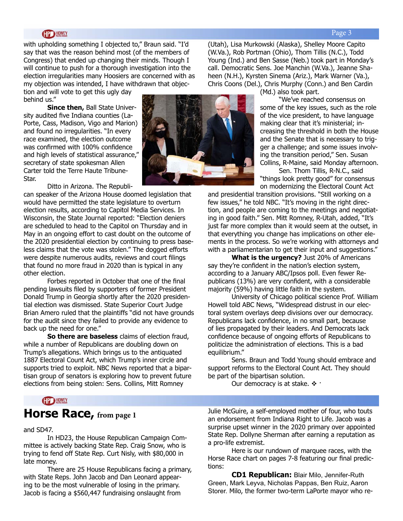#### **HOWEY**

with upholding something I objected to," Braun said. "I'd say that was the reason behind most (of the members of Congress) that ended up changing their minds. Though I will continue to push for a thorough investigation into the election irregularities many Hoosiers are concerned with as my objection was intended, I have withdrawn that objec-

tion and will vote to get this ugly day behind us."

**Since then,** Ball State University audited five Indiana counties (La-Porte, Cass, Madison, Vigo and Marion) and found no irregularities. "In every race examined, the election outcome was confirmed with 100% confidence and high levels of statistical assurance," secretary of state spokesman Allen Carter told the Terre Haute Tribune-Star.

Ditto in Arizona. The Republi-

can speaker of the Arizona House doomed legislation that would have permitted the state legislature to overturn election results, according to Capitol Media Services. In Wisconsin, the State Journal reported: "Election deniers are scheduled to head to the Capitol on Thursday and in May in an ongoing effort to cast doubt on the outcome of the 2020 presidential election by continuing to press baseless claims that the vote was stolen." The dogged efforts were despite numerous audits, reviews and court filings that found no more fraud in 2020 than is typical in any other election.

Forbes reported in October that one of the final pending lawsuits filed by supporters of former President Donald Trump in Georgia shortly after the 2020 presidential election was dismissed. State Superior Court Judge Brian Amero ruled that the plaintiffs "did not have grounds for the audit since they failed to provide any evidence to back up the need for one."

**So there are baseless** claims of election fraud, while a number of Republicans are doubling down on Trump's allegations. Which brings us to the antiquated 1887 Electoral Count Act, which Trump's inner circle and supports tried to exploit. NBC News reported that a bipartisan group of senators is exploring how to prevent future elections from being stolen: Sens. Collins, Mitt Romney



(Utah), Lisa Murkowski (Alaska), Shelley Moore Capito (W.Va.), Rob Portman (Ohio), Thom Tillis (N.C.), Todd Young (Ind.) and Ben Sasse (Neb.) took part in Monday's call. Democratic Sens. Joe Manchin (W.Va.), Jeanne Shaheen (N.H.), Kyrsten Sinema (Ariz.), Mark Warner (Va.), Chris Coons (Del.), Chris Murphy (Conn.) and Ben Cardin

(Md.) also took part.

"We've reached consensus on some of the key issues, such as the role of the vice president, to have language making clear that it's ministerial; increasing the threshold in both the House and the Senate that is necessary to trigger a challenge; and some issues involving the transition period," Sen. Susan Collins, R-Maine, said Monday afternoon.

Sen. Thom Tillis, R-N.C., said "things look pretty good" for consensus on modernizing the Electoral Count Act

and presidential transition provisions. "Still working on a few issues," he told NBC. "It's moving in the right direction, and people are coming to the meetings and negotiating in good faith." Sen. Mitt Romney, R-Utah, added, "It's just far more complex than it would seem at the outset, in that everything you change has implications on other elements in the process. So we're working with attorneys and with a parliamentarian to get their input and suggestions."

**What is the urgency?** Just 20% of Americans say they're confident in the nation's election system, according to a January ABC/Ipsos poll. Even fewer Republicans (13%) are very confident, with a considerable majority (59%) having little faith in the system.

University of Chicago political science Prof. William Howell told ABC News, "Widespread distrust in our electoral system overlays deep divisions over our democracy. Republicans lack confidence, in no small part, because of lies propagated by their leaders. And Democrats lack confidence because of ongoing efforts of Republicans to politicize the administration of elections. This is a bad equilibrium."

Sens. Braun and Todd Young should embrace and support reforms to the Electoral Count Act. They should be part of the bipartisan solution.

Our democracy is at stake.  $\cdot \cdot$ 

#### **CP HOWEY**

### **Horse Race, from page 1**

and SD47.

In HD23, the House Republican Campaign Committee is actively backing State Rep. Craig Snow, who is trying to fend off State Rep. Curt Nisly, with \$80,000 in late money.

There are 25 House Republicans facing a primary, with State Reps. John Jacob and Dan Leonard appearing to be the most vulnerable of losing in the primary. Jacob is facing a \$560,447 fundraising onslaught from

Julie McGuire, a self-employed mother of four, who touts an endorsement from Indiana Right to Life. Jacob was a surprise upset winner in the 2020 primary over appointed State Rep. Dollyne Sherman after earning a reputation as a pro-life extremist.

Here is our rundown of marquee races, with the Horse Race chart on pages 7-8 featuring our final predictions:

**CD1 Republican:** Blair Milo, Jennifer-Ruth Green, Mark Leyva, Nicholas Pappas, Ben Ruiz, Aaron Storer. Milo, the former two-term LaPorte mayor who re-

#### Page 3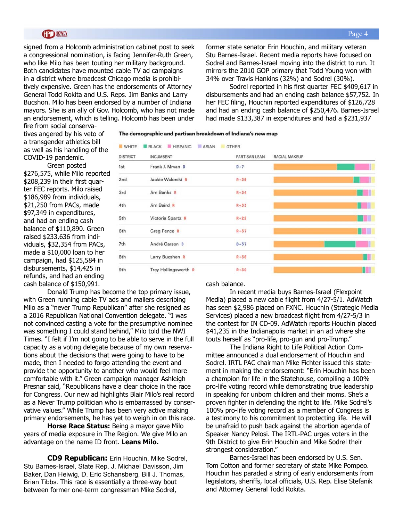#### **HOWEY**

signed from a Holcomb administration cabinet post to seek a congressional nomination, is facing Jennifer-Ruth Green, who like Milo has been touting her military background. Both candidates have mounted cable TV ad campaigns in a district where broadcast Chicago media is prohibitively expensive. Green has the endorsements of Attorney General Todd Rokita and U.S. Reps. Jim Banks and Larry Bucshon. Milo has been endorsed by a number of Indiana mayors. She is an ally of Gov. Holcomb, who has not made an endorsement, which is telling. Holcomb has been under former state senator Erin Houchin, and military veteran Stu Barnes-Israel. Recent media reports have focused on Sodrel and Barnes-Israel moving into the district to run. It mirrors the 2010 GOP primary that Todd Young won with 34% over Travis Hankins (32%) and Sodrel (30%).

Sodrel reported in his first quarter FEC \$409,617 in disbursements and had an ending cash balance \$57,752. In her FEC filing, Houchin reported expenditures of \$126,728 and had an ending cash balance of \$250,476. Barnes-Israel had made \$133,387 in expenditures and had a \$231,937

fire from social conservatives angered by his veto of a transgender athletics bill as well as his handling of the COVID-19 pandemic.

Green posted \$276,575, while Milo reported \$208,239 in their first quarter FEC reports. Milo raised \$186,989 from individuals, \$21,250 from PACs, made \$97,349 in expenditures, and had an ending cash balance of \$110,890. Green raised \$233,636 from individuals, \$32,354 from PACs, made a \$10,000 loan to her campaign, had \$125,584 in disbursements, \$14,425 in refunds, and had an ending cash balance of \$150,991.

| <b>DISTRICT</b> | <b>INCUMBENT</b>     | PARTISAN LEAN | RACIAL MAKEUP |
|-----------------|----------------------|---------------|---------------|
| 1st             | Frank J. Mrvan D     | $D+7$         |               |
| 2nd             | Jackie Walorski R    | $R + 26$      |               |
| 3rd             | Jim Banks R          | $R + 34$      | n II          |
| 4th             | Jim Baird R          | $R + 33$      |               |
| 5th             | Victoria Spartz R    | $R + 22$      | Ħ<br>٠        |
| 6th             | Greg Pence R         | $R + 37$      |               |
| 7th             | André Carson D       | $D + 37$      |               |
| 8th             | Larry Bucshon R      | $R + 36$      | Ш             |
| 9th             | Trey Hollingsworth R | $R + 30$      | H             |

Donald Trump has become the top primary issue, with Green running cable TV ads and mailers describing Milo as a "never Trump Republican" after she resigned as a 2016 Republican National Convention delegate. "I was not convinced casting a vote for the presumptive nominee was something I could stand behind," Milo told the NWI Times. "I felt if I'm not going to be able to serve in the full capacity as a voting delegate because of my own reservations about the decisions that were going to have to be made, then I needed to forgo attending the event and provide the opportunity to another who would feel more comfortable with it." Green campaign manager Ashleigh Presnar said, "Republicans have a clear choice in the race for Congress. Our new ad highlights Blair Milo's real record as a Never Trump politician who is embarrassed by conservative values." While Trump has been very active making primary endorsements, he has yet to weigh in on this race.

**Horse Race Status:** Being a mayor gave Milo years of media exposure in The Region. We give Milo an advantage on the name ID front. **Leans Milo.**

**CD9 Republican:** Erin Houchin, Mike Sodrel, Stu Barnes-Israel, State Rep. J. Michael Davisson, Jim Baker, Dan Heiwig, D. Eric Schansberg, Bill J. Thomas, Brian Tibbs. This race is essentially a three-way bout between former one-term congressman Mike Sodrel,

cash balance.

The demographic and partisan breakdown of Indiana's new map

In recent media buys Barnes-Israel (Flexpoint Media) placed a new cable flight from 4/27-5/1. AdWatch has seen \$2,986 placed on FXNC. Houchin (Strategic Media Services) placed a new broadcast flight from 4/27-5/3 in the contest for IN CD-09. AdWatch reports Houchin placed \$41,235 in the Indianapolis market in an ad where she touts herself as "pro-life, pro-gun and pro-Trump."

The Indiana Right to Life Political Action Committee announced a dual endorsement of Houchin and Sodrel. IRTL PAC chairman Mike Fichter issued this statement in making the endorsement: "Erin Houchin has been a champion for life in the Statehouse, compiling a 100% pro-life voting record while demonstrating true leadership in speaking for unborn children and their moms. She's a proven fighter in defending the right to life. Mike Sodrel's 100% pro-life voting record as a member of Congress is a testimony to his commitment to protecting life. He will be unafraid to push back against the abortion agenda of Speaker Nancy Pelosi. The IRTL-PAC urges voters in the 9th District to give Erin Houchin and Mike Sodrel their strongest consideration."

Barnes-Israel has been endorsed by U.S. Sen. Tom Cotton and former secretary of state Mike Pompeo. Houchin has paraded a string of early endorsements from legislators, sheriffs, local officials, U.S. Rep. Elise Stefanik and Attorney General Todd Rokita.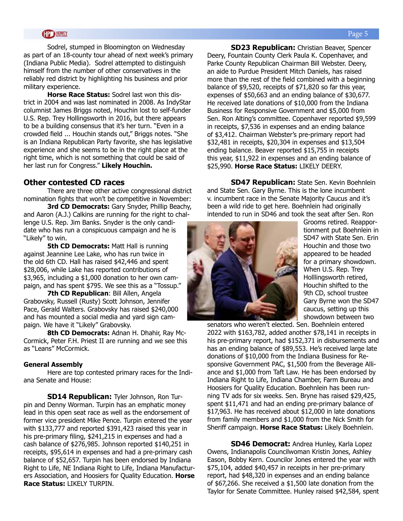Sodrel, stumped in Bloomington on Wednesday as part of an 18-county tour ahead of next week's primary (Indiana Public Media). Sodrel attempted to distinguish himself from the number of other conservatives in the reliably red district by highlighting his business and prior military experience.

**Horse Race Status:** Sodrel last won this district in 2004 and was last nominated in 2008. As IndyStar columnist James Briggs noted, Houchin lost to self-funder U.S. Rep. Trey Hollingsworth in 2016, but there appears to be a building consensus that it's her turn. "Even in a crowded field ... Houchin stands out," Briggs notes. "She is an Indiana Republican Party favorite, she has legislative experience and she seems to be in the right place at the right time, which is not something that could be said of her last run for Congress." **Likely Houchin.**

#### **Other contested CD races**

There are three other active congressional district nomination fights that won't be competitive in November:

**3rd CD Democrats:** Gary Snyder, Phillip Beachy, and Aaron (A.J.) Calkins are running for the right to challenge U.S. Rep. Jim Banks. Snyder is the only candidate who has run a conspicuous campaign and he is "Likely" to win.

**5th CD Democrats: Matt Hall is running** against Jeannine Lee Lake, who has run twice in the old 6th CD. Hall has raised \$42,446 and spent \$28,006, while Lake has reported contributions of \$3,965, including a \$1,000 donation to her own campaign, and has spent \$795. We see this as a "Tossup."

**7th CD Republican**: Bill Allen, Angela Grabovsky, Russell (Rusty) Scott Johnson, Jennifer Pace, Gerald Walters. Grabovsky has raised \$240,000 and has mounted a social media and yard sign campaign. We have it "Likely" Grabovsky.

**8th CD Democrats:** Adnan H. Dhahir, Ray Mc-Cormick, Peter F.H. Priest II are running and we see this as "Leans" McCormick.

#### **General Assembly**

Here are top contested primary races for the Indiana Senate and House:

**SD14 Republican:** Tyler Johnson, Ron Turpin and Denny Worman. Turpin has an emphatic money lead in this open seat race as well as the endorsement of former vice president Mike Pence. Turpin entered the year with \$133,777 and reported \$391,423 raised this year in his pre-primary filing, \$241,215 in expenses and had a cash balance of \$276,985. Johnson reported \$140,251 in receipts, \$95,614 in expenses and had a pre-primary cash balance of \$52,657. Turpin has been endorsed by Indiana Right to Life, NE Indiana Right to Life, Indiana Manufacturers Association, and Hoosiers for Quality Education. **Horse Race Status:** LIKELY TURPIN.

**SD23 Republican:** Christian Beaver, Spencer Deery, Fountain County Clerk Paula K. Copenhaver, and Parke County Republican Chairman Bill Webster. Deery, an aide to Purdue President Mitch Daniels, has raised more than the rest of the field combined with a beginning balance of \$9,520, receipts of \$71,820 so far this year, expenses of \$50,663 and an ending balance of \$30,677. He received late donations of \$10,000 from the Indiana Business for Responsive Government and \$5,000 from Sen. Ron Alting's committee. Copenhaver reported \$9,599 in receipts, \$7,536 in expenses and an ending balance of \$3,412. Chairman Webster's pre-primary report had \$32,481 in receipts, \$20,304 in expenses and \$13,504 ending balance. Beaver reported \$15,755 in receipts this year, \$11,922 in expenses and an ending balance of \$25,990. **Horse Race Status:** LIKELY DEERY.

**SD47 Republican:** State Sen. Kevin Boehnlein and State Sen. Gary Byrne. This is the lone incumbent v. incumbent race in the Senate Majority Caucus and it's been a wild ride to get here. Boehnlein had originally intended to run in SD46 and took the seat after Sen. Ron



Grooms retired. Reapportionment put Boehnlein in SD47 with State Sen. Erin Houchin and those two appeared to be headed for a primary showdown. When U.S. Rep. Trey Holllingsworth retired, Houchin shifted to the 9th CD, school trustee Gary Byrne won the SD47 caucus, setting up this showdown between two

senators who weren't elected. Sen. Boehnlein entered 2022 with \$163,782, added another \$78,141 in receipts in his pre-primary report, had \$152,371 in disbursements and has an ending balance of \$89,553. He's received large late donations of \$10,000 from the Indiana Business for Responsive Government PAC, \$1,500 from the Beverage Alliance and \$1,000 from Taft Law. He has been endorsed by Indiana Right to Life, Indiana Chamber, Farm Bureau and Hoosiers for Quality Education. Boehnlein has been running TV ads for six weeks. Sen. Bryne has raised \$29,425, spent \$11,471 and had an ending pre-primary balance of \$17,963. He has received about \$12,000 in late donations from family members and \$1,000 from the Nick Smith for Sheriff campaign. **Horse Race Status:** Likely Boehnlein.

**SD46 Democrat:** Andrea Hunley, Karla Lopez Owens, Indianapolis Councilwoman Kristin Jones, Ashley Eason, Bobby Kern. Councilor Jones entered the year with \$75,104, added \$40,457 in receipts in her pre-primary report, had \$48,320 in expenses and an ending balance of \$67,266. She received a \$1,500 late donation from the Taylor for Senate Committee. Hunley raised \$42,584, spent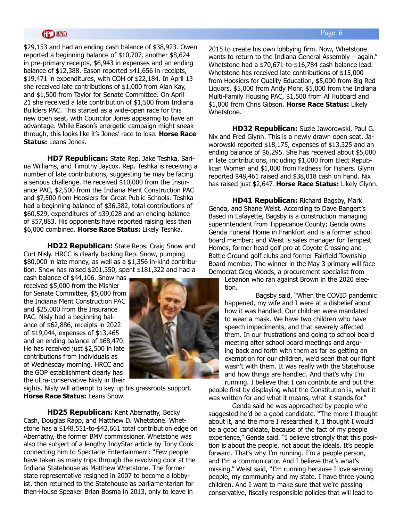#### **HD HOWEY**

\$29,153 and had an ending cash balance of \$38,923. Owen reported a beginning balance of \$10,707, another \$8,624 in pre-primary receipts, \$6,943 in expenses and an ending balance of \$12,388. Eason reported \$41,656 in receipts, \$19,471 in expenditures, with COH of \$22,184. In April 13 she received late contributions of \$1,000 from Alan Kay, and \$1,500 from Taylor for Senate Committee. On April 21 she received a late contribution of \$1,500 from Indiana Builders PAC. This started as a wide-open race for this new open seat, with Councilor Jones appearing to have an advantage. While Eason's energetic campaign might sneak through, this looks like it's Jones' race to lose. **Horse Race Status:** Leans Jones.

**HD7 Republican:** State Rep. Jake Teshka, Sarina Williams, and Timothy Jaycox. Rep. Teshka is receiving a number of late contributions, suggesting he may be facing a serious challenge. He received \$10,000 from the Insurance PAC, \$2,500 from the Indiana Merit Construction PAC and \$7,500 from Hoosiers for Great Public Schools. Teshka had a beginning balance of \$36,382, total contributions of \$60,529, expenditures of \$39,028 and an ending balance of \$57,883. His opponents have reported raising less than \$6,000 combined. **Horse Race Status:** Likely Teshka.

**HD22 Republican:** State Reps. Craig Snow and Curt Nisly. HRCC is clearly backing Rep. Snow, pumping \$80,000 in late money, as well as a \$1,356 in-kind contribution. Snow has raised \$201,350, spent \$181,322 and had a

cash balance of \$44,106. Snow has received \$5,000 from the Mishler for Senate Committee, \$5,000 from the Indiana Merit Construction PAC and \$25,000 from the Insurance PAC. Nisly had a beginning balance of \$62,886, receipts in 2022 of \$19,044, expenses of \$13,465 and an ending balance of \$68,470. He has received just \$2,500 in late contributions from individuals as of Wednesday morning. HRCC and the GOP establishment clearly has the ultra-conservative Nisly in their



sights. Nisly will attempt to key up his grassroots support. **Horse Race Status:** Leans Snow.

**HD25 Republican:** Kent Abernathy, Becky Cash, Douglas Rapp, and Matthew D. Whetstone. Whetstone has a \$148,551-to-\$42,661 total contribution edge on Abernathy, the former BMV commissioner. Whetstone was also the subject of a lengthy IndyStar article by Tony Cook connecting him to Spectacle Entertainment: "Few people have taken as many trips through the revolving door at the Indiana Statehouse as Matthew Whetstone. The former state representative resigned in 2007 to become a lobbyist, then returned to the Statehouse as parliamentarian for then-House Speaker Brian Bosma in 2013, only to leave in

2015 to create his own lobbying firm. Now, Whetstone wants to return to the Indiana General Assembly – again." Whetstone had a \$70,671-to-\$16,784 cash balance lead. Whetstone has received late contributions of \$15,000 from Hoosiers for Quality Education, \$5,000 from Big Red Liquors, \$5,000 from Andy Mohr, \$5,000 from the Indiana Multi-Family Housing PAC, \$1,500 from Al Hubbard and \$1,000 from Chris Gibson. **Horse Race Status:** Likely Whetstone.

**HD32 Republican:** Suzie Jaworowski, Paul G. Nix and Fred Glynn. This is a newly drawn open seat. Jaworowski reported \$18,175, expenses of \$13,325 and an ending balance of \$6,295. She has received about \$5,000 in late contributions, including \$1,000 from Elect Republican Women and \$1,000 from Fadness for Fishers. Glynn reported \$48,461 raised and \$38,018 cash on hand. Nix has raised just \$2,647. **Horse Race Status:** Likely Glynn.

**HD41 Republican:** Richard Bagsby, Mark Genda, and Shane Weist. According to Dave Bangert's Based in Lafayette, Bagsby is a construction managing superintendent from Tippecanoe County; Genda owns Genda Funeral Home in Frankfort and is a former school board member; and Weist is sales manager for Tempest Homes, former head golf pro at Coyote Crossing and Battle Ground golf clubs and former Fairfield Township Board member. The winner in the May 3 primary will face Democrat Greg Woods, a procurement specialist from

Lebanon who ran against Brown in the 2020 election.

Bagsby said, "When the COVID pandemic happened, my wife and I were at a disbelief about how it was handled. Our children were mandated to wear a mask. We have two children who have speech impediments, and that severely affected them. In our frustrations and going to school board meeting after school board meetings and arguing back and forth with them as far as getting an exemption for our children, we'd seen that our fight wasn't with them. It was really with the Statehouse and how things are handled. And that's why I'm

running. I believe that I can contribute and put the people first by displaying what the Constitution is, what it was written for and what it means, what it stands for."

Genda said he was approached by people who suggested he'd be a good candidate. "The more I thought about it, and the more I researched it, I thought I would be a good candidate, because of the fact of my people experience," Genda said. "I believe strongly that this position is about the people, not about the ideals. It's people forward. That's why I'm running. I'm a people person, and I'm a communicator. And I believe that's what's missing." Weist said, "I'm running because I love serving people, my community and my state. I have three young children. And I want to make sure that we're passing conservative, fiscally responsible policies that will lead to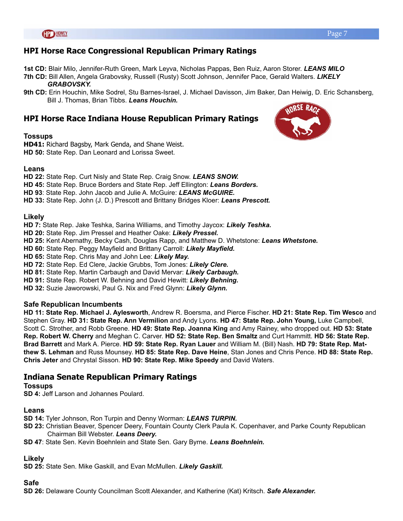#### **HPI Horse Race Congressional Republican Primary Ratings**

**1st CD:** Blair Milo, Jennifer-Ruth Green, Mark Leyva, Nicholas Pappas, Ben Ruiz, Aaron Storer. *LEANS MILO* 

- **7th CD:** Bill Allen, Angela Grabovsky, Russell (Rusty) Scott Johnson, Jennifer Pace, Gerald Walters. *LIKELY GRABOVSKY.*
- **9th CD:** Erin Houchin, Mike Sodrel, Stu Barnes-Israel, J. Michael Davisson, Jim Baker, Dan Heiwig, D. Eric Schansberg, Bill J. Thomas, Brian Tibbs. *Leans Houchin.*

#### **HPI Horse Race Indiana House Republican Primary Ratings**

#### **Tossups**

**HD41:** Richard Bagsby, Mark Genda, and Shane Weist. **HD 50:** State Rep. Dan Leonard and Lorissa Sweet.

#### **Leans**

**HD 22:** State Rep. Curt Nisly and State Rep. Craig Snow. *LEANS SNOW.*

**HD 45:** State Rep. Bruce Borders and State Rep. Jeff Ellington: *Leans Borders.*

**HD 93**: State Rep. John Jacob and Julie A. McGuire: *LEANS McGUIRE.*

**HD 33:** State Rep. John (J. D.) Prescott and Brittany Bridges Kloer: *Leans Prescott.*

#### **Likely**

**HD 7:** State Rep. Jake Teshka, Sarina Williams, and Timothy Jaycox: *Likely Teshka.*

**HD 20:** State Rep. Jim Pressel and Heather Oake: *Likely Pressel.*

**HD 25:** Kent Abernathy, Becky Cash, Douglas Rapp, and Matthew D. Whetstone: *Leans Whetstone.*

**HD 60:** State Rep. Peggy Mayfield and Brittany Carroll: *Likely Mayfield.*

**HD 65:** State Rep. Chris May and John Lee: *Likely May.*

**HD 72:** State Rep. Ed Clere, Jackie Grubbs, Tom Jones: *Likely Clere.*

**HD 81:** State Rep. Martin Carbaugh and David Mervar: *Likely Carbaugh.*

**HD 91:** State Rep. Robert W. Behning and David Hewitt: *Likely Behning.*

**HD 32:** Suzie Jaworowski, Paul G. Nix and Fred Glynn: *Likely Glynn.* 

#### **Safe Republican Incumbents**

**HD 11: State Rep. Michael J. Aylesworth**, Andrew R. Boersma, and Pierce Fischer. **HD 21: State Rep. Tim Wesco** and Stephen Gray. **HD 31: State Rep. Ann Vermilion** and Andy Lyons. **HD 47: State Rep. John Young,** Luke Campbell, Scott C. Strother, and Robb Greene. **HD 49: State Rep. Joanna King** and Amy Rainey, who dropped out. **HD 53: State Rep. Robert W. Cherry** and Meghan C. Carver. **HD 52: State Rep. Ben Smaltz** and Curt Hammitt. **HD 56: State Rep. Brad Barrett** and Mark A. Pierce. **HD 59: State Rep. Ryan Lauer** and William M. (Bill) Nash. **HD 79: State Rep. Matthew S. Lehman** and Russ Mounsey. **HD 85: State Rep. Dave Heine**, Stan Jones and Chris Pence. **HD 88: State Rep. Chris Jeter** and Chrystal Sisson. **HD 90: State Rep. Mike Speedy** and David Waters.

#### **Indiana Senate Republican Primary Ratings**

#### **Tossups**

**SD 4:** Jeff Larson and Johannes Poulard.

#### **Leans**

**SD 14:** Tyler Johnson, Ron Turpin and Denny Worman: *LEANS TURPIN.*

- **SD 23:** Christian Beaver, Spencer Deery, Fountain County Clerk Paula K. Copenhaver, and Parke County Republican Chairman Bill Webster. *Leans Deery.*
- **SD 47**: State Sen. Kevin Boehnlein and State Sen. Gary Byrne. *Leans Boehnlein.*

#### **Likely**

**SD 25:** State Sen. Mike Gaskill, and Evan McMullen. *Likely Gaskill.*

#### **Safe**

**SD 26:** Delaware County Councilman Scott Alexander, and Katherine (Kat) Kritsch. *Safe Alexander.*

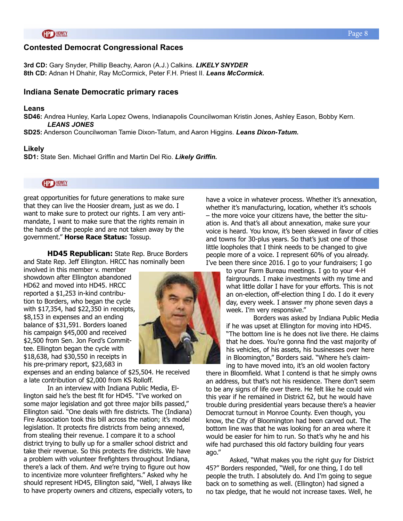#### **Contested Democrat Congressional Races**

**3rd CD:** Gary Snyder, Phillip Beachy, Aaron (A.J.) Calkins. *LIKELY SNYDER* **8th CD:** Adnan H Dhahir, Ray McCormick, Peter F.H. Priest II. *Leans McCormick.*

#### **Indiana Senate Democratic primary races**

#### **Leans**

**SD46:** Andrea Hunley, Karla Lopez Owens, Indianapolis Councilwoman Kristin Jones, Ashley Eason, Bobby Kern. *LEANS JONES*

**SD25:** Anderson Councilwoman Tamie Dixon-Tatum, and Aaron Higgins. *Leans Dixon-Tatum.*

#### **Likely**

**SD1:** State Sen. Michael Griffin and Martin Del Rio. *Likely Griffin.*

**HP HOWEY** 

great opportunities for future generations to make sure that they can live the Hoosier dream, just as we do. I want to make sure to protect our rights. I am very antimandate, I want to make sure that the rights remain in the hands of the people and are not taken away by the government." **Horse Race Status:** Tossup.

**HD45 Republican:** State Rep. Bruce Borders and State Rep. Jeff Ellington. HRCC has nominally been

involved in this member v. member showdown after Ellington abandoned HD62 and moved into HD45. HRCC reported a \$1,253 in-kind contribution to Borders, who began the cycle with \$17,354, had \$22,350 in receipts, \$8,153 in expenses and an ending balance of \$31,591. Borders loaned his campaign \$45,000 and received \$2,500 from Sen. Jon Ford's Committee. Ellington began the cycle with \$18,638, had \$30,550 in receipts in his pre-primary report, \$23,683 in

expenses and an ending balance of \$25,504. He received a late contribution of \$2,000 from KS Rolloff.

In an interview with Indiana Public Media, Ellington said he's the best fit for HD45. "I've worked on some major legislation and got three major bills passed," Ellington said. "One deals with fire districts. The (Indiana) Fire Association took this bill across the nation; it's model legislation. It protects fire districts from being annexed, from stealing their revenue. I compare it to a school district trying to bully up for a smaller school district and take their revenue. So this protects fire districts. We have a problem with volunteer firefighters throughout Indiana, there's a lack of them. And we're trying to figure out how to incentivize more volunteer firefighters." Asked why he should represent HD45, Ellington said, "Well, I always like to have property owners and citizens, especially voters, to

have a voice in whatever process. Whether it's annexation, whether it's manufacturing, location, whether it's schools – the more voice your citizens have, the better the situation is. And that's all about annexation, make sure your voice is heard. You know, it's been skewed in favor of cities and towns for 30-plus years. So that's just one of those little loopholes that I think needs to be changed to give people more of a voice. I represent 60% of you already. I've been there since 2016. I go to your fundraisers; I go

> to your Farm Bureau meetings. I go to your 4-H fairgrounds. I make investments with my time and what little dollar I have for your efforts. This is not an on-election, off-election thing I do. I do it every day, every week. I answer my phone seven days a week. I'm very responsive."

Borders was asked by Indiana Public Media if he was upset at Ellington for moving into HD45. "The bottom line is he does not live there. He claims that he does. You're gonna find the vast majority of his vehicles, of his assets, his businesses over here in Bloomington," Borders said. "Where he's claiming to have moved into, it's an old woolen factory

there in Bloomfield. What I contend is that he simply owns an address, but that's not his residence. There don't seem to be any signs of life over there. He felt like he could win this year if he remained in District 62, but he would have trouble during presidential years because there's a heavier Democrat turnout in Monroe County. Even though, you know, the City of Bloomington had been carved out. The bottom line was that he was looking for an area where it would be easier for him to run. So that's why he and his wife had purchased this old factory building four years ago."

Asked, "What makes you the right guy for District 45?" Borders responded, "Well, for one thing, I do tell people the truth. I absolutely do. And I'm going to segue back on to something as well. (Ellington) had signed a no tax pledge, that he would not increase taxes. Well, he

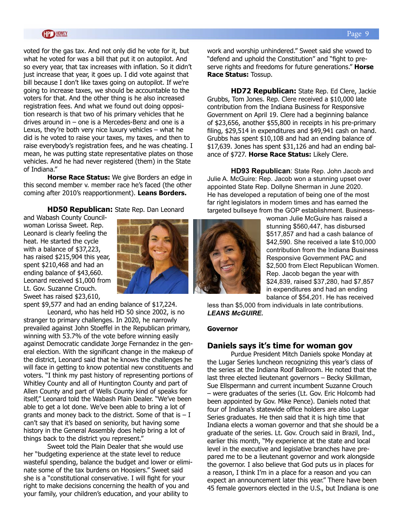voted for the gas tax. And not only did he vote for it, but what he voted for was a bill that put it on autopilot. And so every year, that tax increases with inflation. So it didn't just increase that year, it goes up. I did vote against that bill because I don't like taxes going on autopilot. If we're going to increase taxes, we should be accountable to the voters for that. And the other thing is he also increased registration fees. And what we found out doing opposition research is that two of his primary vehicles that he drives around in – one is a Mercedes-Benz and one is a Lexus, they're both very nice luxury vehicles – what he did is he voted to raise your taxes, my taxes, and then to raise everybody's registration fees, and he was cheating. I mean, he was putting state representative plates on those vehicles. And he had never registered (them) in the State of Indiana."

**Horse Race Status:** We give Borders an edge in this second member v. member race he's faced (the other coming after 2010's reapportionment). **Leans Borders.**

**HD50 Republican:** State Rep. Dan Leonard

and Wabash County Councilwoman Lorissa Sweet. Rep. Leonard is clearly feeling the heat. He started the cycle with a balance of \$37,223, has raised \$215,904 this year, spent \$210,468 and had an ending balance of \$43,660. Leonard received \$1,000 from Lt. Gov. Suzanne Crouch. Sweet has raised \$23,610,

spent \$9,577 and had an ending balance of \$17,224.

Leonard, who has held HD 50 since 2002, is no stranger to primary challenges. In 2020, he narrowly prevailed against John Stoeffel in the Republican primary, winning with 53.7% of the vote before winning easily against Democratic candidate Jorge Fernandez in the general election. With the significant change in the makeup of the district, Leonard said that he knows the challenges he will face in getting to know potential new constituents and voters. "I think my past history of representing portions of Whitley County and all of Huntington County and part of Allen County and part of Wells County kind of speaks for itself," Leonard told the Wabash Plain Dealer. "We've been able to get a lot done. We've been able to bring a lot of grants and money back to the district. Some of that is  $- I$ can't say that it's based on seniority, but having some history in the General Assembly does help bring a lot of things back to the district you represent."

Sweet told the Plain Dealer that she would use her "budgeting experience at the state level to reduce wasteful spending, balance the budget and lower or eliminate some of the tax burdens on Hoosiers." Sweet said she is a "constitutional conservative. I will fight for your right to make decisions concerning the health of you and your family, your children's education, and your ability to

work and worship unhindered." Sweet said she vowed to "defend and uphold the Constitution" and "fight to preserve rights and freedoms for future generations." **Horse Race Status:** Tossup.

**HD72 Republican:** State Rep. Ed Clere, Jackie Grubbs, Tom Jones. Rep. Clere received a \$10,000 late contribution from the Indiana Business for Responsive Government on April 19. Clere had a beginning balance of \$23,656, another \$55,800 in receipts in his pre-primary filing, \$29,514 in expenditures and \$49,941 cash on hand. Grubbs has spent \$10,108 and had an ending balance of \$17,639. Jones has spent \$31,126 and had an ending balance of \$727. **Horse Race Status:** Likely Clere.

**HD93 Republican**: State Rep. John Jacob and Julie A. McGuire: Rep. Jacob won a stunning upset over appointed State Rep. Dollyne Sherman in June 2020. He has developed a reputation of being one of the most far right legislators in modern times and has earned the targeted bullseye from the GOP establishment. Business-

> woman Julie McGuire has raised a stunning \$560,447, has disbursed \$517,857 and had a cash balance of \$42,590. She received a late \$10,000 contribution from the Indiana Business Responsive Government PAC and \$2,500 from Elect Republican Women. Rep. Jacob began the year with \$24,839, raised \$37,280, had \$7,857 in expenditures and had an ending balance of \$54,201. He has received

less than \$5,000 from individuals in late contributions. *LEANS McGUIRE.*

#### **Governor**

#### **Daniels says it's time for woman gov**

Purdue President Mitch Daniels spoke Monday at the Lugar Series luncheon recognizing this year's class of the series at the Indiana Roof Ballroom. He noted that the last three elected lieutenant governors – Becky Skillman, Sue Ellspermann and current incumbent Suzanne Crouch – were graduates of the series (Lt. Gov. Eric Holcomb had been appointed by Gov. Mike Pence). Daniels noted that four of Indiana's statewide office holders are also Lugar Series graduates. He then said that it is high time that Indiana elects a woman governor and that she should be a graduate of the series. Lt. Gov. Crouch said in Brazil, Ind., earlier this month, "My experience at the state and local level in the executive and legislative branches have prepared me to be a lieutenant governor and work alongside the governor. I also believe that God puts us in places for a reason, I think I'm in a place for a reason and you can expect an announcement later this year." There have been 45 female governors elected in the U.S., but Indiana is one

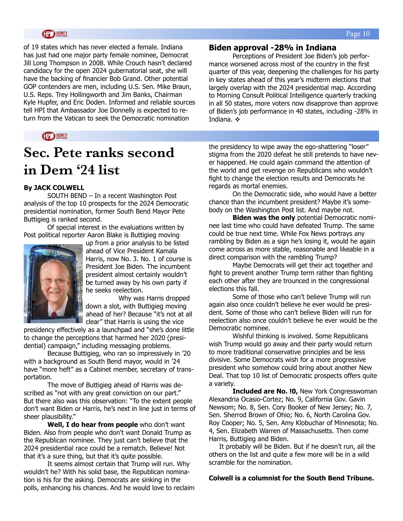of 19 states which has never elected a female. Indiana has just had one major party female nominee, Democrat Jill Long Thompson in 2008. While Crouch hasn't declared candidacy for the open 2024 gubernatorial seat, she will have the backing of financier Bob Grand. Other potential GOP contenders are men, including U.S. Sen. Mike Braun, U.S. Reps. Trey Hollingworth and Jim Banks, Chairman Kyle Hupfer, and Eric Doden. Informed and reliable sources tell HPI that Ambassador Joe Donnelly is expected to return from the Vatican to seek the Democratic nomination

**CP HOWEY** 

## **Sec. Pete ranks second in Dem '24 list**

#### **By JACK COLWELL**

SOUTH BEND – In a recent Washington Post analysis of the top 10 prospects for the 2024 Democratic presidential nomination, former South Bend Mayor Pete Buttigieg is ranked second.

 Of special interest in the evaluations written by Post political reporter Aaron Blake is Buttigieg moving



up from a prior analysis to be listed ahead of Vice President Kamala Harris, now No. 3. No. 1 of course is President Joe Biden. The incumbent president almost certainly wouldn't be turned away by his own party if he seeks reelection.

 Why was Harris dropped down a slot, with Buttigieg moving ahead of her? Because "it's not at all clear" that Harris is using the vice

presidency effectively as a launchpad and "she's done little to change the perceptions that harmed her 2020 (presidential) campaign," including messaging problems.

 Because Buttigieg, who ran so impressively in '20 with a background as South Bend mayor, would in '24 have "more heft" as a Cabinet member, secretary of transportation.

 The move of Buttigieg ahead of Harris was described as "not with any great conviction on our part." But there also was this observation: "To the extent people don't want Biden or Harris, he's next in line just in terms of sheer plausibility."

 **Well, I do hear from people** who don't want Biden. Also from people who don't want Donald Trump as the Republican nominee. They just can't believe that the 2024 presidential race could be a rematch. Believe! Not that it's a sure thing, but that it's quite possible.

 It seems almost certain that Trump will run. Why wouldn't he? With his solid base, the Republican nomination is his for the asking. Democrats are sinking in the polls, enhancing his chances. And he would love to reclaim

#### **Biden approval -28% in Indiana**

Perceptions of President Joe Biden's job performance worsened across most of the country in the first quarter of this year, deepening the challenges for his party in key states ahead of this year's midterm elections that largely overlap with the 2024 presidential map. According to Morning Consult Political Intelligence quarterly tracking in all 50 states, more voters now disapprove than approve of Biden's job performance in 40 states, including -28% in Indiana.  $\mathbf{\dot{\cdot}}$ 

the presidency to wipe away the ego-shattering "loser" stigma from the 2020 defeat he still pretends to have never happened. He could again command the attention of the world and get revenge on Republicans who wouldn't fight to change the election results and Democrats he regards as mortal enemies.

 On the Democratic side, who would have a better chance than the incumbent president? Maybe it's somebody on the Washington Post list. And maybe not.

 **Biden was the only** potential Democratic nominee last time who could have defeated Trump. The same could be true next time. While Fox News portrays any rambling by Biden as a sign he's losing it, would he again come across as more stable, reasonable and likeable in a direct comparison with the rambling Trump?

 Maybe Democrats will get their act together and fight to prevent another Trump term rather than fighting each other after they are trounced in the congressional elections this fall.

 Some of those who can't believe Trump will run again also once couldn't believe he ever would be president. Some of those who can't believe Biden will run for reelection also once couldn't believe he ever would be the Democratic nominee.

 Wishful thinking is involved. Some Republicans wish Trump would go away and their party would return to more traditional conservative principles and be less divisive. Some Democrats wish for a more progressive president who somehow could bring about another New Deal. That top 10 list of Democratic prospects offers quite a variety.

 **Included are No. !0,** New York Congresswoman Alexandria Ocasio-Cortez; No. 9, California Gov. Gavin Newsom; No. 8, Sen. Cory Booker of New Jersey; No. 7, Sen. Sherrod Brown of Ohio; No. 6, North Carolina Gov. Roy Cooper; No. 5, Sen. Amy Klobuchar of Minnesota; No. 4, Sen. Elizabeth Warren of Massachusetts. Then come Harris, Buttigieg and Biden.

 It probably will be Biden. But if he doesn't run, all the others on the list and quite a few more will be in a wild scramble for the nomination.

#### **Colwell is a columnist for the South Bend Tribune.**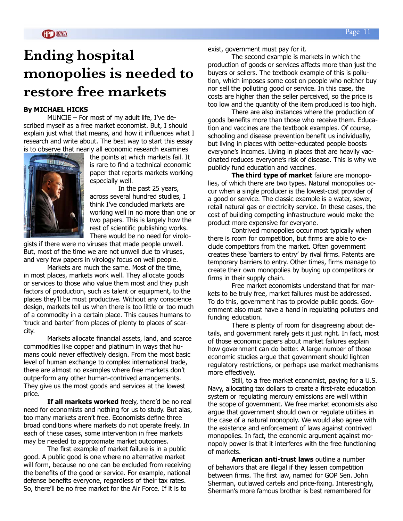## **Ending hospital monopolies is needed to restore free markets**

#### **By MICHAEL HICKS**

MUNCIE – For most of my adult life, I've described myself as a free market economist. But, I should explain just what that means, and how it influences what I research and write about. The best way to start this essay is to observe that nearly all economic research examines



the points at which markets fail. It is rare to find a technical economic paper that reports markets working especially well.

In the past 25 years, across several hundred studies, I think I've concluded markets are working well in no more than one or two papers. This is largely how the rest of scientific publishing works. There would be no need for virolo-

gists if there were no viruses that made people unwell. But, most of the time we are not unwell due to viruses, and very few papers in virology focus on well people.

Markets are much the same. Most of the time, in most places, markets work well. They allocate goods or services to those who value them most and they push factors of production, such as talent or equipment, to the places they'll be most productive. Without any conscience design, markets tell us when there is too little or too much of a commodity in a certain place. This causes humans to 'truck and barter' from places of plenty to places of scarcity.

Markets allocate financial assets, land, and scarce commodities like copper and platinum in ways that humans could never effectively design. From the most basic level of human exchange to complex international trade, there are almost no examples where free markets don't outperform any other human-contrived arrangements. They give us the most goods and services at the lowest price.

**If all markets worked** freely, there'd be no real need for economists and nothing for us to study. But alas, too many markets aren't free. Economists define three broad conditions where markets do not operate freely. In each of these cases, some intervention in free markets may be needed to approximate market outcomes.

The first example of market failure is in a public good. A public good is one where no alternative market will form, because no one can be excluded from receiving the benefits of the good or service. For example, national defense benefits everyone, regardless of their tax rates. So, there'll be no free market for the Air Force. If it is to

exist, government must pay for it.

The second example is markets in which the production of goods or services affects more than just the buyers or sellers. The textbook example of this is pollution, which imposes some cost on people who neither buy nor sell the polluting good or service. In this case, the costs are higher than the seller perceived, so the price is too low and the quantity of the item produced is too high.

There are also instances where the production of goods benefits more than those who receive them. Education and vaccines are the textbook examples. Of course, schooling and disease prevention benefit us individually, but living in places with better-educated people boosts everyone's incomes. Living in places that are heavily vaccinated reduces everyone's risk of disease. This is why we publicly fund education and vaccines.

**The third type of market** failure are monopolies, of which there are two types. Natural monopolies occur when a single producer is the lowest-cost provider of a good or service. The classic example is a water, sewer, retail natural gas or electricity service. In these cases, the cost of building competing infrastructure would make the product more expensive for everyone.

Contrived monopolies occur most typically when there is room for competition, but firms are able to exclude competitors from the market. Often government creates these 'barriers to entry' by rival firms. Patents are temporary barriers to entry. Other times, firms manage to create their own monopolies by buying up competitors or firms in their supply chain.

Free market economists understand that for markets to be truly free, market failures must be addressed. To do this, government has to provide public goods. Government also must have a hand in regulating polluters and funding education.

There is plenty of room for disagreeing about details, and government rarely gets it just right. In fact, most of those economic papers about market failures explain how government can do better. A large number of those economic studies argue that government should lighten regulatory restrictions, or perhaps use market mechanisms more effectively.

Still, to a free market economist, paying for a U.S. Navy, allocating tax dollars to create a first-rate education system or regulating mercury emissions are well within the scope of government. We free market economists also argue that government should own or regulate utilities in the case of a natural monopoly. We would also agree with the existence and enforcement of laws against contrived monopolies. In fact, the economic argument against monopoly power is that it interferes with the free functioning of markets.

**American anti-trust laws** outline a number of behaviors that are illegal if they lessen competition between firms. The first law, named for GOP Sen. John Sherman, outlawed cartels and price-fixing. Interestingly, Sherman's more famous brother is best remembered for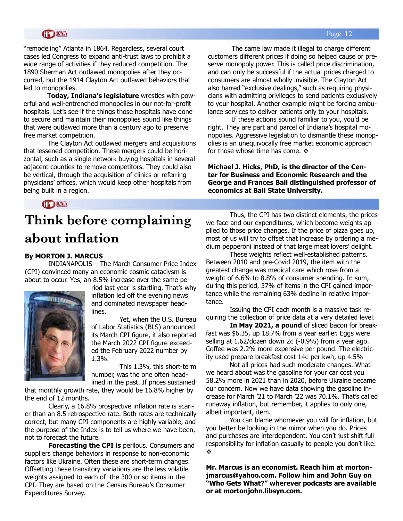#### **HD HOWEY**

"remodeling" Atlanta in 1864. Regardless, several court cases led Congress to expand anti-trust laws to prohibit a wide range of activities if they reduced competition. The 1890 Sherman Act outlawed monopolies after they occurred, but the 1914 Clayton Act outlawed behaviors that led to monopolies.

T**oday, Indiana's legislature** wrestles with powerful and well-entrenched monopolies in our not-for-profit hospitals. Let's see if the things those hospitals have done to secure and maintain their monopolies sound like things that were outlawed more than a century ago to preserve free market competition.

The Clayton Act outlawed mergers and acquisitions that lessened competition. These mergers could be horizontal, such as a single network buying hospitals in several adjacent counties to remove competitors. They could also be vertical, through the acquisition of clinics or referring physicians' offices, which would keep other hospitals from being built in a region.

The same law made it illegal to charge different customers different prices if doing so helped cause or preserve monopoly power. This is called price discrimination, and can only be successful if the actual prices charged to consumers are almost wholly invisible. The Clayton Act also barred "exclusive dealings," such as requiring physicians with admitting privileges to send patients exclusively to your hospital. Another example might be forcing ambulance services to deliver patients only to your hospitals.

If these actions sound familiar to you, you'd be right. They are part and parcel of Indiana's hospital monopolies. Aggressive legislation to dismantle these monopolies is an unequivocally free market economic approach for those whose time has come.  $\div$ 

**Michael J. Hicks, PhD, is the director of the Center for Business and Economic Research and the George and Frances Ball distinguished professor of economics at Ball State University.** 

**HPD HOWEY** 

## **Think before complaining about inflation**

#### **By MORTON J. MARCUS**

INDIANAPOLIS – The March Consumer Price Index (CPI) convinced many an economic cosmic cataclysm is about to occur. Yes, an 8.5% increase over the same pe-



riod last year is startling. That's why inflation led off the evening news and dominated newspaper headlines.

Yet, when the U.S. Bureau of Labor Statistics (BLS) announced its March CPI figure, it also reported the March 2022 CPI figure exceeded the February 2022 number by 1.3%.

This 1.3%, this short-term number, was the one often headlined in the past. If prices sustained

that monthly growth rate, they would be 16.8% higher by the end of 12 months.

Clearly, a 16.8% prospective inflation rate is scarier than an 8.5 retrospective rate. Both rates are technically correct, but many CPI components are highly variable, and the purpose of the Index is to tell us where we have been, not to forecast the future.

**Forecasting the CPI is** perilous. Consumers and suppliers change behaviors in response to non-economic factors like Ukraine. Often these are short-term changes. Offsetting these transitory variations are the less volatile weights assigned to each of the 300 or so items in the CPI. They are based on the Census Bureau's Consumer Expenditures Survey.

Thus, the CPI has two distinct elements, the prices we face and our expenditures, which become weights applied to those price changes. If the price of pizza goes up, most of us will try to offset that increase by ordering a medium pepperoni instead of that large meat lovers' delight.

These weights reflect well-established patterns. Between 2010 and pre-Covid 2019, the item with the greatest change was medical care which rose from a weight of 6.6% to 8.8% of consumer spending. In sum, during this period, 37% of items in the CPI gained importance while the remaining 63% decline in relative importance.

Issuing the CPI each month is a massive task requiring the collection of price data at a very detailed level.

**In May 2021, a pound** of sliced bacon for breakfast was \$6.35, up 18.7% from a year earlier. Eggs were selling at 1.62/dozen down 2¢ (-0.9%) from a year ago. Coffee was 2.2% more expensive per pound. The electricity used prepare breakfast cost 14¢ per kwh, up 4.5%

Not all prices had such moderate changes. What we heard about was the gasoline for your car cost you 58.2% more in 2021 than in 2020, before Ukraine became our concern. Now we have data showing the gasoline increase for March '21 to March '22 was 70.1%. That's called runaway inflation, but remember, it applies to only one, albeit important, item.

You can blame whomever you will for inflation, but you better be looking in the mirror when you do. Prices and purchases are interdependent. You can't just shift full responsibility for inflation casually to people you don't like. v

**Mr. Marcus is an economist. Reach him at mortonjmarcus@yahoo.com. Follow him and John Guy on "Who Gets What?" wherever podcasts are available or at mortonjohn.libsyn.com.**

#### Page 12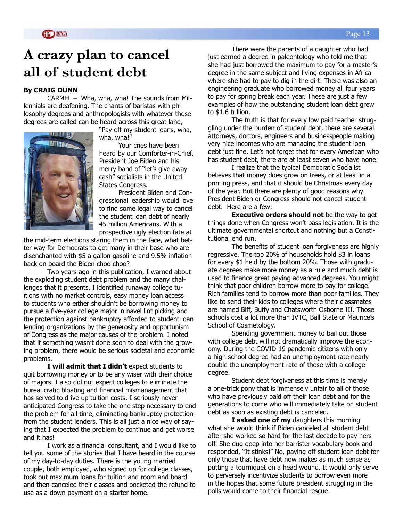## **A crazy plan to cancel all of student debt**

#### **By CRAIG DUNN**

CARMEL – Wha, wha, wha! The sounds from Millennials are deafening. The chants of baristas with philosophy degrees and anthropologists with whatever those degrees are called can be heard across this great land,



"Pay off my student loans, wha, wha, wha!"

Your cries have been heard by our Comforter-in-Chief, President Joe Biden and his merry band of "let's give away cash" socialists in the United States Congress.

President Biden and Congressional leadership would love to find some legal way to cancel the student loan debt of nearly 45 million Americans. With a prospective ugly election fate at

the mid-term elections staring them in the face, what better way for Democrats to get many in their base who are disenchanted with \$5 a gallon gasoline and 9.5% inflation back on board the Biden choo choo?

Two years ago in this publication, I warned about the exploding student debt problem and the many challenges that it presents. I identified runaway college tuitions with no market controls, easy money loan access to students who either shouldn't be borrowing money to pursue a five-year college major in navel lint picking and the protection against bankruptcy afforded to student loan lending organizations by the generosity and opportunism of Congress as the major causes of the problem. I noted that if something wasn't done soon to deal with the growing problem, there would be serious societal and economic problems.

**I will admit that I didn't** expect students to quit borrowing money or to be any wiser with their choice of majors. I also did not expect colleges to eliminate the bureaucratic bloating and financial mismanagement that has served to drive up tuition costs. I seriously never anticipated Congress to take the one step necessary to end the problem for all time, eliminating bankruptcy protection from the student lenders. This is all just a nice way of saying that I expected the problem to continue and get worse and it has!

I work as a financial consultant, and I would like to tell you some of the stories that I have heard in the course of my day-to-day duties. There is the young married couple, both employed, who signed up for college classes, took out maximum loans for tuition and room and board and then canceled their classes and pocketed the refund to use as a down payment on a starter home.

There were the parents of a daughter who had just earned a degree in paleontology who told me that she had just borrowed the maximum to pay for a master's degree in the same subject and living expenses in Africa where she had to pay to dig in the dirt. There was also an engineering graduate who borrowed money all four years to pay for spring break each year. These are just a few examples of how the outstanding student loan debt grew to \$1.6 trillion.

The truth is that for every low paid teacher struggling under the burden of student debt, there are several attorneys, doctors, engineers and businesspeople making very nice incomes who are managing the student loan debt just fine. Let's not forget that for every American who has student debt, there are at least seven who have none.

I realize that the typical Democratic Socialist believes that money does grow on trees, or at least in a printing press, and that it should be Christmas every day of the year. But there are plenty of good reasons why President Biden or Congress should not cancel student debt. Here are a few:

**Executive orders should not** be the way to get things done when Congress won't pass legislation. It is the ultimate governmental shortcut and nothing but a Constitutional end run.

The benefits of student loan forgiveness are highly regressive. The top 20% of households hold \$3 in loans for every \$1 held by the bottom 20%. Those with graduate degrees make more money as a rule and much debt is used to finance great paying advanced degrees. You might think that poor children borrow more to pay for college. Rich families tend to borrow more than poor families. They like to send their kids to colleges where their classmates are named Biff, Buffy and Chatsworth Osborne III. Those schools cost a lot more than IVTC, Ball State or Maurice's School of Cosmetology.

Spending government money to bail out those with college debt will not dramatically improve the economy. During the COVID-19 pandemic citizens with only a high school degree had an unemployment rate nearly double the unemployment rate of those with a college degree.

Student debt forgiveness at this time is merely a one-trick pony that is immensely unfair to all of those who have previously paid off their loan debt and for the generations to come who will immediately take on student debt as soon as existing debt is canceled.

**I asked one of my** daughters this morning what she would think if Biden canceled all student debt after she worked so hard for the last decade to pay hers off. She dug deep into her barrister vocabulary book and responded, "It stinks!" No, paying off student loan debt for only those that have debt now makes as much sense as putting a tourniquet on a head wound. It would only serve to perversely incentivize students to borrow even more in the hopes that some future president struggling in the polls would come to their financial rescue.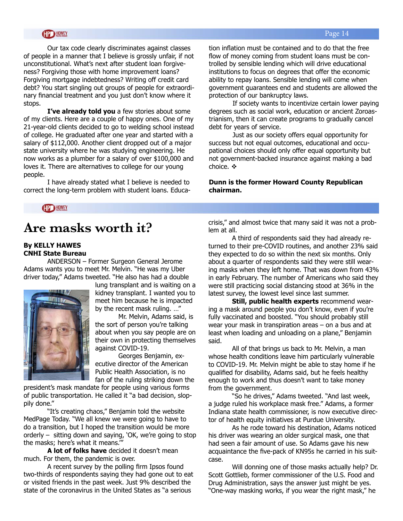#### Page 14

#### **HP HOWEY**

Our tax code clearly discriminates against classes of people in a manner that I believe is grossly unfair, if not unconstitutional. What's next after student loan forgiveness? Forgiving those with home improvement loans? Forgiving mortgage indebtedness? Writing off credit card debt? You start singling out groups of people for extraordinary financial treatment and you just don't know where it stops.

**I've already told you** a few stories about some of my clients. Here are a couple of happy ones. One of my 21-year-old clients decided to go to welding school instead of college. He graduated after one year and started with a salary of \$112,000. Another client dropped out of a major state university where he was studying engineering. He now works as a plumber for a salary of over \$100,000 and loves it. There are alternatives to college for our young people.

I have already stated what I believe is needed to correct the long-term problem with student loans. Education inflation must be contained and to do that the free flow of money coming from student loans must be controlled by sensible lending which will drive educational institutions to focus on degrees that offer the economic ability to repay loans. Sensible lending will come when government guarantees end and students are allowed the protection of our bankruptcy laws.

If society wants to incentivize certain lower paying degrees such as social work, education or ancient Zoroastrianism, then it can create programs to gradually cancel debt for years of service.

Just as our society offers equal opportunity for success but not equal outcomes, educational and occupational choices should only offer equal opportunity but not government-backed insurance against making a bad choice.  $\cdot \cdot$ 

#### **Dunn is the former Howard County Republican chairman.**

**HP HOWEY** 

## **Are masks worth it?**

#### **By KELLY HAWES CNHI State Bureau**

ANDERSON – Former Surgeon General Jerome Adams wants you to meet Mr. Melvin. "He was my Uber driver today," Adams tweeted. "He also has had a double



lung transplant and is waiting on a kidney transplant. I wanted you to meet him because he is impacted by the recent mask ruling. …"

Mr. Melvin, Adams said, is the sort of person you're talking about when you say people are on their own in protecting themselves against COVID-19.

Georges Benjamin, executive director of the American Public Health Association, is no fan of the ruling striking down the

president's mask mandate for people using various forms of public transportation. He called it "a bad decision, sloppily done."

"It's creating chaos," Benjamin told the website MedPage Today. "We all knew we were going to have to do a transition, but I hoped the transition would be more orderly – sitting down and saying, 'OK, we're going to stop the masks; here's what it means.'"

**A lot of folks have** decided it doesn't mean much. For them, the pandemic is over.

A recent survey by the polling firm Ipsos found two-thirds of respondents saying they had gone out to eat or visited friends in the past week. Just 9% described the state of the coronavirus in the United States as "a serious

crisis," and almost twice that many said it was not a problem at all.

A third of respondents said they had already returned to their pre-COVID routines, and another 23% said they expected to do so within the next six months. Only about a quarter of respondents said they were still wearing masks when they left home. That was down from 43% in early February. The number of Americans who said they were still practicing social distancing stood at 36% in the latest survey, the lowest level since last summer.

**Still, public health experts** recommend wearing a mask around people you don't know, even if you're fully vaccinated and boosted. "You should probably still wear your mask in transpiration areas – on a bus and at least when loading and unloading on a plane," Benjamin said.

All of that brings us back to Mr. Melvin, a man whose health conditions leave him particularly vulnerable to COVID-19. Mr. Melvin might be able to stay home if he qualified for disability, Adams said, but he feels healthy enough to work and thus doesn't want to take money from the government.

"So he drives," Adams tweeted. "And last week, a judge ruled his workplace mask free." Adams, a former Indiana state health commissioner, is now executive director of health equity initiatives at Purdue University.

As he rode toward his destination, Adams noticed his driver was wearing an older surgical mask, one that had seen a fair amount of use. So Adams gave his new acquaintance the five-pack of KN95s he carried in his suitcase.

Will donning one of those masks actually help? Dr. Scott Gottlieb, former commissioner of the U.S. Food and Drug Administration, says the answer just might be yes. "One-way masking works, if you wear the right mask," he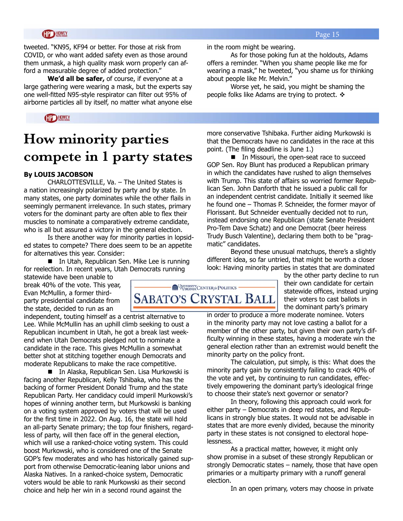#### **GP HOWEY**

tweeted. "KN95, KF94 or better. For those at risk from COVID, or who want added safety even as those around them unmask, a high quality mask worn properly can afford a measurable degree of added protection."

**We'd all be safer,** of course, if everyone at a large gathering were wearing a mask, but the experts say one well-fitted N95-style respirator can filter out 95% of airborne particles all by itself, no matter what anyone else

#### **HP HOWEY**

## **How minority parties compete in 1 party states**

#### **By LOUIS JACOBSON**

CHARLOTTESVILLE, Va. – The United States is a nation increasingly polarized by party and by state. In many states, one party dominates while the other flails in seemingly permanent irrelevance. In such states, primary voters for the dominant party are often able to flex their muscles to nominate a comparatively extreme candidate, who is all but assured a victory in the general election.

Is there another way for minority parties in lopsided states to compete? There does seem to be an appetite for alternatives this year. Consider:

■ In Utah, Republican Sen. Mike Lee is running for reelection. In recent years, Utah Democrats running

statewide have been unable to break 40% of the vote. This year, Evan McMullin, a former thirdparty presidential candidate from the state, decided to run as an

independent, touting himself as a centrist alternative to Lee. While McMullin has an uphill climb seeking to oust a Republican incumbent in Utah, he got a break last weekend when Utah Democrats pledged not to nominate a candidate in the race. This gives McMullin a somewhat better shot at stitching together enough Democrats and moderate Republicans to make the race competitive.

■ In Alaska, Republican Sen. Lisa Murkowski is facing another Republican, Kelly Tshibaka, who has the backing of former President Donald Trump and the state Republican Party. Her candidacy could imperil Murkowski's hopes of winning another term, but Murkowski is banking on a voting system approved by voters that will be used for the first time in 2022. On Aug. 16, the state will hold an all-party Senate primary; the top four finishers, regardless of party, will then face off in the general election, which will use a ranked-choice voting system. This could boost Murkowski, who is considered one of the Senate GOP's few moderates and who has historically gained support from otherwise Democratic-leaning labor unions and Alaska Natives. In a ranked-choice system, Democratic voters would be able to rank Murkowski as their second choice and help her win in a second round against the

in the room might be wearing.

As for those poking fun at the holdouts, Adams offers a reminder. "When you shame people like me for wearing a mask," he tweeted, "you shame us for thinking about people like Mr. Melvin."

Worse yet, he said, you might be shaming the people folks like Adams are trying to protect.  $\triangleleft$ 

more conservative Tshibaka. Further aiding Murkowski is that the Democrats have no candidates in the race at this point. (The filing deadline is June 1.)

■ In Missouri, the open-seat race to succeed GOP Sen. Roy Blunt has produced a Republican primary in which the candidates have rushed to align themselves with Trump. This state of affairs so worried former Republican Sen. John Danforth that he issued a public call for an independent centrist candidate. Initially it seemed like he found one – Thomas P. Schneider, the former mayor of Florissant. But Schneider eventually decided not to run, instead endorsing one Republican (state Senate President Pro-Tem Dave Schatz) and one Democrat (beer heiress Trudy Busch Valentine), declaring them both to be "pragmatic" candidates.

Beyond these unusual matchups, there's a slightly different idea, so far untried, that might be worth a closer look: Having minority parties in states that are dominated

> by the other party decline to run their own candidate for certain statewide offices, instead urging their voters to cast ballots in the dominant party's primary

in order to produce a more moderate nominee. Voters in the minority party may not love casting a ballot for a member of the other party, but given their own party's difficulty winning in these states, having a moderate win the general election rather than an extremist would benefit the minority party on the policy front.

The calculation, put simply, is this: What does the minority party gain by consistently failing to crack 40% of the vote and yet, by continuing to run candidates, effectively empowering the dominant party's ideological fringe to choose their state's next governor or senator?

In theory, following this approach could work for either party – Democrats in deep red states, and Republicans in strongly blue states. It would not be advisable in states that are more evenly divided, because the minority party in these states is not consigned to electoral hopelessness.

As a practical matter, however, it might only show promise in a subset of these strongly Republican or strongly Democratic states – namely, those that have open primaries or a multiparty primary with a runoff general election.

In an open primary, voters may choose in private

### UNIVERSITY CENTER & POLITICS **SABATO'S CRYSTAL BALL**

Page 15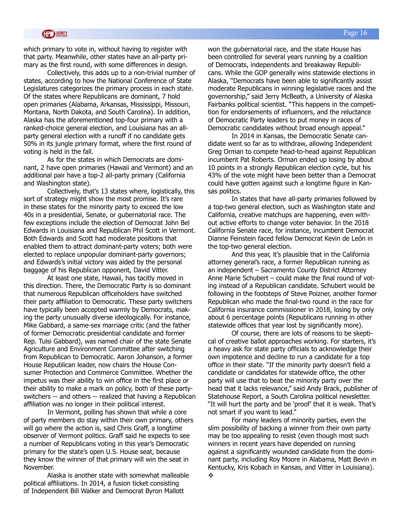which primary to vote in, without having to register with that party. Meanwhile, other states have an all-party primary as the first round, with some differences in design.

Collectively, this adds up to a non-trivial number of states, according to how the National Conference of State Legislatures categorizes the primary process in each state. Of the states where Republicans are dominant, 7 hold open primaries (Alabama, Arkansas, Mississippi, Missouri, Montana, North Dakota, and South Carolina). In addition, Alaska has the aforementioned top-four primary with a ranked-choice general election, and Louisiana has an allparty general election with a runoff if no candidate gets 50% in its jungle primary format, where the first round of voting is held in the fall.

As for the states in which Democrats are dominant, 2 have open primaries (Hawaii and Vermont) and an additional pair have a top-2 all-party primary (California and Washington state).

Collectively, that's 13 states where, logistically, this sort of strategy might show the most promise. It's rare in these states for the minority party to exceed the low 40s in a presidential, Senate, or gubernatorial race. The few exceptions include the election of Democrat John Bel Edwards in Louisiana and Republican Phil Scott in Vermont. Both Edwards and Scott had moderate positions that enabled them to attract dominant-party voters; both were elected to replace unpopular dominant-party governors; and Edwards's initial victory was aided by the personal baggage of his Republican opponent, David Vitter.

At least one state, Hawaii, has tacitly moved in this direction. There, the Democratic Party is so dominant that numerous Republican officeholders have switched their party affiliation to Democratic. These party switchers have typically been accepted warmly by Democrats, making the party unusually diverse ideologically. For instance, Mike Gabbard, a same-sex marriage critic (and the father of former Democratic presidential candidate and former Rep. Tulsi Gabbard), was named chair of the state Senate Agriculture and Environment Committee after switching from Republican to Democratic. Aaron Johanson, a former House Republican leader, now chairs the House Consumer Protection and Commerce Committee. Whether the impetus was their ability to win office in the first place or their ability to make a mark on policy, both of these partyswitchers -- and others -- realized that having a Republican affiliation was no longer in their political interest.

In Vermont, polling has shown that while a core of party members do stay within their own primary, others will go where the action is, said Chris Graff, a longtime observer of Vermont politics. Graff said he expects to see a number of Republicans voting in this year's Democratic primary for the state's open U.S. House seat, because they know the winner of that primary will win the seat in November.

Alaska is another state with somewhat malleable political affiliations. In 2014, a fusion ticket consisting of Independent Bill Walker and Democrat Byron Mallott

won the gubernatorial race, and the state House has been controlled for several years running by a coalition of Democrats, independents and breakaway Republicans. While the GOP generally wins statewide elections in Alaska, "Democrats have been able to significantly assist moderate Republicans in winning legislative races and the governorship," said Jerry McBeath, a University of Alaska Fairbanks political scientist. "This happens in the competition for endorsements of influencers, and the reluctance of Democratic Party leaders to put money in races of Democratic candidates without broad enough appeal."

In 2014 in Kansas, the Democratic Senate candidate went so far as to withdraw, allowing Independent Greg Orman to compete head-to-head against Republican incumbent Pat Roberts. Orman ended up losing by about 10 points in a strongly Republican election cycle, but his 43% of the vote might have been better than a Democrat could have gotten against such a longtime figure in Kansas politics.

In states that have all-party primaries followed by a top-two general election, such as Washington state and California, creative matchups are happening, even without active efforts to change voter behavior. In the 2018 California Senate race, for instance, incumbent Democrat Dianne Feinstein faced fellow Democrat Kevin de León in the top-two general election.

And this year, it's plausible that in the California attorney general's race, a former Republican running as an independent – Sacramento County District Attorney Anne Marie Schubert – could make the final round of voting instead of a Republican candidate. Schubert would be following in the footsteps of Steve Poizner, another former Republican who made the final-two round in the race for California insurance commissioner in 2018, losing by only about 6 percentage points (Republicans running in other statewide offices that year lost by significantly more).

Of course, there are lots of reasons to be skeptical of creative ballot approaches working. For starters, it's a heavy ask for state party officials to acknowledge their own impotence and decline to run a candidate for a top office in their state. "If the minority party doesn't field a candidate or candidates for statewide office, the other party will use that to beat the minority party over the head that it lacks relevance," said Andy Brack, publisher of Statehouse Report, a South Carolina political newsletter. "It will hurt the party and be 'proof' that it is weak. That's not smart if you want to lead."

For many leaders of minority parties, even the slim possibility of backing a winner from their own party may be too appealing to resist (even though most such winners in recent years have depended on running against a significantly wounded candidate from the dominant party, including Roy Moore in Alabama, Matt Bevin in Kentucky, Kris Kobach in Kansas, and Vitter in Louisiana).  $\cdot$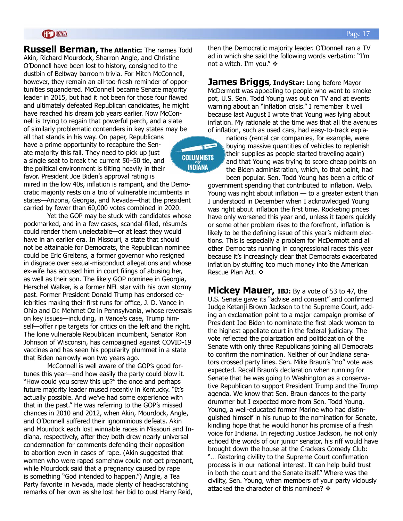#### **GP HOWEY**

**Russell Berman, The Atlantic:** The names Todd Akin, Richard Mourdock, Sharron Angle, and Christine O'Donnell have been lost to history, consigned to the dustbin of Beltway barroom trivia. For Mitch McConnell, however, they remain an all-too-fresh reminder of opportunities squandered. McConnell became Senate majority leader in 2015, but had it not been for those four flawed and ultimately defeated Republican candidates, he might have reached his dream job years earlier. Now McConnell is trying to regain that powerful perch, and a slate of similarly problematic contenders in key states may be all that stands in his way. On paper, Republicans have a prime opportunity to recapture the Sen-

ate majority this fall. They need to pick up just a single seat to break the current 50–50 tie, and the political environment is tilting heavily in their favor. President Joe Biden's approval rating is

mired in the low 40s, inflation is rampant, and the Democratic majority rests on a trio of vulnerable incumbents in states—Arizona, Georgia, and Nevada—that the president carried by fewer than 60,000 votes combined in 2020.

Yet the GOP may be stuck with candidates whose pockmarked, and in a few cases, scandal-filled, résumés could render them unelectable—or at least they would have in an earlier era. In Missouri, a state that should not be attainable for Democrats, the Republican nominee could be Eric Greitens, a former governor who resigned in disgrace over sexual-misconduct allegations and whose ex-wife has accused him in court filings of abusing her, as well as their son. The likely GOP nominee in Georgia, Herschel Walker, is a former NFL star with his own stormy past. Former President Donald Trump has endorsed celebrities making their first runs for office, J. D. Vance in Ohio and Dr. Mehmet Oz in Pennsylvania, whose reversals on key issues—including, in Vance's case, Trump himself—offer ripe targets for critics on the left and the right. The lone vulnerable Republican incumbent, Senator Ron Johnson of Wisconsin, has campaigned against COVID-19 vaccines and has seen his popularity plummet in a state that Biden narrowly won two years ago.

McConnell is well aware of the GOP's good fortunes this year—and how easily the party could blow it. "How could you screw this up?" the once and perhaps future majority leader mused recently in Kentucky. "It's actually possible. And we've had some experience with that in the past." He was referring to the GOP's missed chances in 2010 and 2012, when Akin, Mourdock, Angle, and O'Donnell suffered their ignominious defeats. Akin and Mourdock each lost winnable races in Missouri and Indiana, respectively, after they both drew nearly universal condemnation for comments defending their opposition to abortion even in cases of rape. (Akin suggested that women who were raped somehow could not get pregnant, while Mourdock said that a pregnancy caused by rape is something "God intended to happen.") Angle, a Tea Party favorite in Nevada, made plenty of head-scratching remarks of her own as she lost her bid to oust Harry Reid,

then the Democratic majority leader. O'Donnell ran a TV ad in which she said the following words verbatim: "I'm not a witch. I'm you."  $\div$ 

**James Briggs, IndyStar:** Long before Mayor McDermott was appealing to people who want to smoke pot, U.S. Sen. Todd Young was out on TV and at events warning about an "inflation crisis." I remember it well because last August I wrote that Young was lying about inflation. My rationale at the time was that all the avenues of inflation, such as used cars, had easy-to-track expla-

> nations (rental car companies, for example, were buying massive quantities of vehicles to replenish their supplies as people started traveling again) and that Young was trying to score cheap points on the Biden administration, which, to that point, had been popular. Sen. Todd Young has been a critic of

government spending that contributed to inflation. Welp. Young was right about inflation — to a greater extent than I understood in December when I acknowledged Young was right about inflation the first time. Rocketing prices have only worsened this year and, unless it tapers quickly or some other problem rises to the forefront, inflation is likely to be the defining issue of this year's midterm elections. This is especially a problem for McDermott and all other Democrats running in congressional races this year because it's increasingly clear that Democrats exacerbated inflation by stuffing too much money into the American Rescue Plan Act. ❖

**Mickey Mauer, IBJ:** By a vote of 53 to 47, the U.S. Senate gave its "advise and consent" and confirmed Judge Ketanji Brown Jackson to the Supreme Court, adding an exclamation point to a major campaign promise of President Joe Biden to nominate the first black woman to the highest appellate court in the federal judiciary. The vote reflected the polarization and politicization of the Senate with only three Republicans joining all Democrats to confirm the nomination. Neither of our Indiana senators crossed party lines. Sen. Mike Braun's "no" vote was expected. Recall Braun's declaration when running for Senate that he was going to Washington as a conservative Republican to support President Trump and the Trump agenda. We know that Sen. Braun dances to the party drummer but I expected more from Sen. Todd Young. Young, a well-educated former Marine who had distinguished himself in his runup to the nomination for Senate, kindling hope that he would honor his promise of a fresh voice for Indiana. In rejecting Justice Jackson, he not only echoed the words of our junior senator, his riff would have brought down the house at the Crackers Comedy Club: "… Restoring civility to the Supreme Court confirmation process is in our national interest. It can help build trust in both the court and the Senate itself." Where was the civility, Sen. Young, when members of your party viciously attacked the character of this nominee?  $\div$